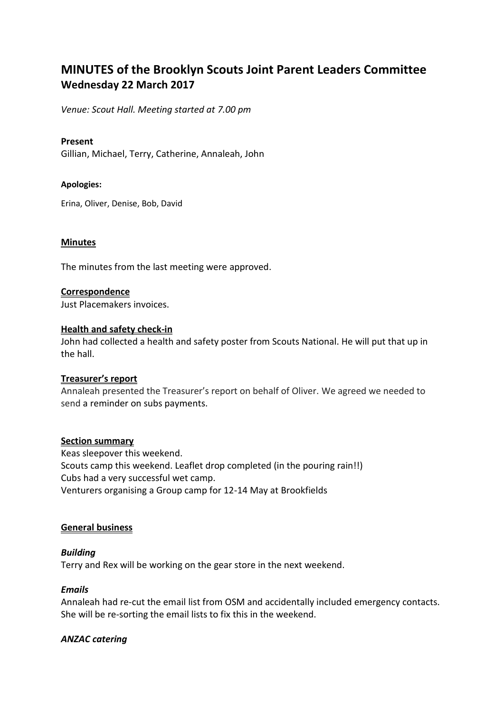# **MINUTES of the Brooklyn Scouts Joint Parent Leaders Committee Wednesday 22 March 2017**

*Venue: Scout Hall. Meeting started at 7.00 pm*

# **Present**

Gillian, Michael, Terry, Catherine, Annaleah, John

#### **Apologies:**

Erina, Oliver, Denise, Bob, David

#### **Minutes**

The minutes from the last meeting were approved.

#### **Correspondence**

Just Placemakers invoices.

# **Health and safety check-in**

John had collected a health and safety poster from Scouts National. He will put that up in the hall.

#### **Treasurer's report**

Annaleah presented the Treasurer's report on behalf of Oliver. We agreed we needed to send a reminder on subs payments.

# **Section summary**

Keas sleepover this weekend. Scouts camp this weekend. Leaflet drop completed (in the pouring rain!!) Cubs had a very successful wet camp. Venturers organising a Group camp for 12-14 May at Brookfields

#### **General business**

# *Building*

Terry and Rex will be working on the gear store in the next weekend.

#### *Emails*

Annaleah had re-cut the email list from OSM and accidentally included emergency contacts. She will be re-sorting the email lists to fix this in the weekend.

# *ANZAC catering*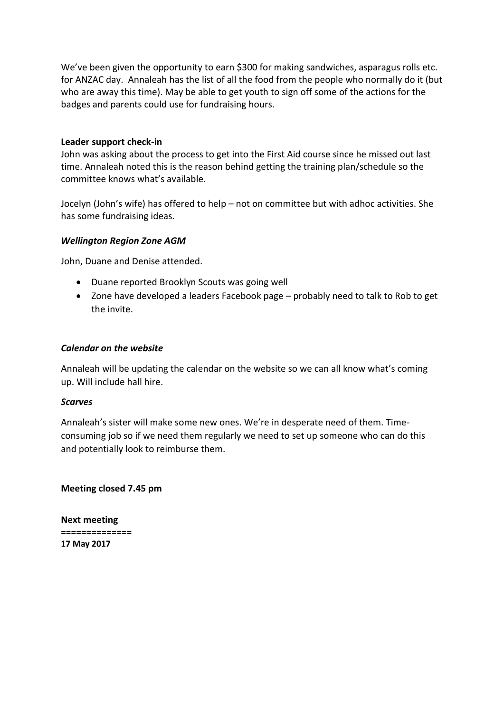We've been given the opportunity to earn \$300 for making sandwiches, asparagus rolls etc. for ANZAC day. Annaleah has the list of all the food from the people who normally do it (but who are away this time). May be able to get youth to sign off some of the actions for the badges and parents could use for fundraising hours.

# **Leader support check-in**

John was asking about the process to get into the First Aid course since he missed out last time. Annaleah noted this is the reason behind getting the training plan/schedule so the committee knows what's available.

Jocelyn (John's wife) has offered to help – not on committee but with adhoc activities. She has some fundraising ideas.

# *Wellington Region Zone AGM*

John, Duane and Denise attended.

- Duane reported Brooklyn Scouts was going well
- Zone have developed a leaders Facebook page probably need to talk to Rob to get the invite.

# *Calendar on the website*

Annaleah will be updating the calendar on the website so we can all know what's coming up. Will include hall hire.

# *Scarves*

Annaleah's sister will make some new ones. We're in desperate need of them. Timeconsuming job so if we need them regularly we need to set up someone who can do this and potentially look to reimburse them.

# **Meeting closed 7.45 pm**

**Next meeting ============== 17 May 2017**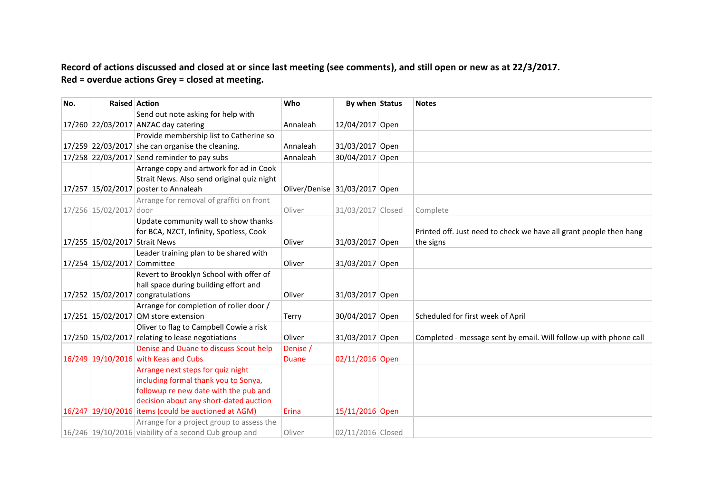# **Record of actions discussed and closed at or since last meeting (see comments), and still open or new as at 22/3/2017. Red = overdue actions Grey = closed at meeting.**

| No. | <b>Raised Action</b>          |                                                         | Who                           | By when Status    | <b>Notes</b>                                                       |
|-----|-------------------------------|---------------------------------------------------------|-------------------------------|-------------------|--------------------------------------------------------------------|
|     |                               | Send out note asking for help with                      |                               |                   |                                                                    |
|     |                               | 17/260 22/03/2017 ANZAC day catering                    | Annaleah                      | 12/04/2017 Open   |                                                                    |
|     |                               | Provide membership list to Catherine so                 |                               |                   |                                                                    |
|     |                               | $17/259$ 22/03/2017 she can organise the cleaning.      | Annaleah                      | 31/03/2017 Open   |                                                                    |
|     |                               | 17/258 22/03/2017 Send reminder to pay subs             | Annaleah                      | 30/04/2017 Open   |                                                                    |
|     |                               | Arrange copy and artwork for ad in Cook                 |                               |                   |                                                                    |
|     |                               | Strait News. Also send original quiz night              |                               |                   |                                                                    |
|     |                               | 17/257 15/02/2017 poster to Annaleah                    | Oliver/Denise 31/03/2017 Open |                   |                                                                    |
|     |                               | Arrange for removal of graffiti on front                |                               |                   |                                                                    |
|     | 17/256 15/02/2017 door        |                                                         | Oliver                        | 31/03/2017 Closed | Complete                                                           |
|     |                               | Update community wall to show thanks                    |                               |                   |                                                                    |
|     |                               | for BCA, NZCT, Infinity, Spotless, Cook                 |                               |                   | Printed off. Just need to check we have all grant people then hang |
|     | 17/255 15/02/2017 Strait News |                                                         | Oliver                        | 31/03/2017 Open   | the signs                                                          |
|     |                               | Leader training plan to be shared with                  |                               |                   |                                                                    |
|     | 17/254 15/02/2017 Committee   |                                                         | Oliver                        | 31/03/2017 Open   |                                                                    |
|     |                               | Revert to Brooklyn School with offer of                 |                               |                   |                                                                    |
|     |                               | hall space during building effort and                   |                               |                   |                                                                    |
|     |                               | $17/252$ 15/02/2017 congratulations                     | Oliver                        | 31/03/2017 Open   |                                                                    |
|     |                               | Arrange for completion of roller door /                 |                               |                   |                                                                    |
|     |                               | 17/251 15/02/2017 QM store extension                    | Terry                         | 30/04/2017 Open   | Scheduled for first week of April                                  |
|     |                               | Oliver to flag to Campbell Cowie a risk                 |                               |                   |                                                                    |
|     |                               | $17/250$ 15/02/2017 relating to lease negotiations      | Oliver                        | 31/03/2017 Open   | Completed - message sent by email. Will follow-up with phone call  |
|     |                               | Denise and Duane to discuss Scout help                  | Denise /                      |                   |                                                                    |
|     |                               | 16/249 19/10/2016 with Keas and Cubs                    | <b>Duane</b>                  | 02/11/2016 Open   |                                                                    |
|     |                               | Arrange next steps for quiz night                       |                               |                   |                                                                    |
|     |                               | including formal thank you to Sonya,                    |                               |                   |                                                                    |
|     |                               | followup re new date with the pub and                   |                               |                   |                                                                    |
|     |                               | decision about any short-dated auction                  |                               |                   |                                                                    |
|     |                               | $16/247$ 19/10/2016 items (could be auctioned at AGM)   | Erina                         | 15/11/2016 Open   |                                                                    |
|     |                               | Arrange for a project group to assess the               |                               |                   |                                                                    |
|     |                               | $16/246$ 19/10/2016 viability of a second Cub group and | Oliver                        | 02/11/2016 Closed |                                                                    |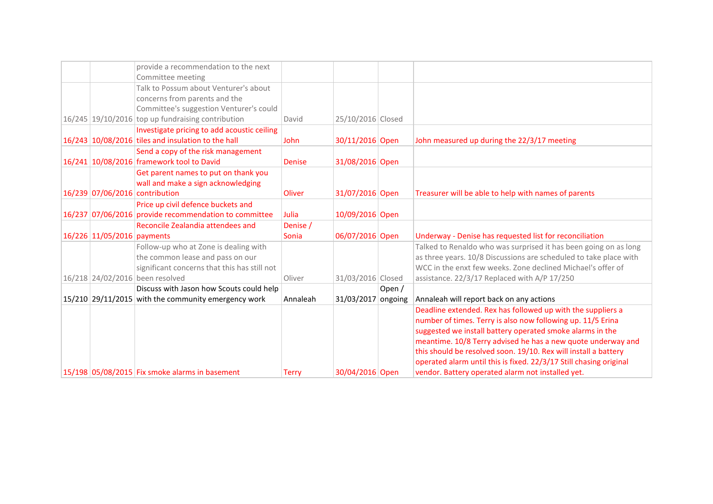|                            |                                                                            |               |                   |         | operated alarm until this is fixed. 22/3/17 Still chasing original |
|----------------------------|----------------------------------------------------------------------------|---------------|-------------------|---------|--------------------------------------------------------------------|
|                            |                                                                            |               |                   |         |                                                                    |
|                            |                                                                            |               |                   |         | this should be resolved soon. 19/10. Rex will install a battery    |
|                            |                                                                            |               |                   |         | meantime. 10/8 Terry advised he has a new quote underway and       |
|                            |                                                                            |               |                   |         | suggested we install battery operated smoke alarms in the          |
|                            |                                                                            |               |                   |         | number of times. Terry is also now following up. 11/5 Erina        |
|                            |                                                                            |               |                   |         | Deadline extended. Rex has followed up with the suppliers a        |
|                            | 15/210 29/11/2015 with the community emergency work                        | Annaleah      | 31/03/2017        | ongoing | Annaleah will report back on any actions                           |
|                            | Discuss with Jason how Scouts could help                                   |               |                   | Open /  |                                                                    |
|                            | 16/218 24/02/2016 been resolved                                            | Oliver        | 31/03/2016 Closed |         | assistance. 22/3/17 Replaced with A/P 17/250                       |
|                            | significant concerns that this has still not                               |               |                   |         | WCC in the enxt few weeks. Zone declined Michael's offer of        |
|                            | the common lease and pass on our                                           |               |                   |         | as three years. 10/8 Discussions are scheduled to take place with  |
|                            | Follow-up who at Zone is dealing with                                      |               |                   |         | Talked to Renaldo who was surprised it has been going on as long   |
| 16/226 11/05/2016 payments |                                                                            | Sonia         | 06/07/2016 Open   |         | Underway - Denise has requested list for reconciliation            |
|                            | Reconcile Zealandia attendees and                                          | Denise /      |                   |         |                                                                    |
|                            | 16/237 07/06/2016 provide recommendation to committee                      | Julia         | 10/09/2016 Open   |         |                                                                    |
|                            | Price up civil defence buckets and                                         |               |                   |         |                                                                    |
|                            | 16/239 07/06/2016 contribution                                             | Oliver        | 31/07/2016 Open   |         | Treasurer will be able to help with names of parents               |
|                            | Get parent names to put on thank you<br>wall and make a sign acknowledging |               |                   |         |                                                                    |
|                            | 16/241 10/08/2016 framework tool to David                                  | <b>Denise</b> | 31/08/2016 Open   |         |                                                                    |
|                            | Send a copy of the risk management                                         |               |                   |         |                                                                    |
|                            | 16/243 10/08/2016 tiles and insulation to the hall                         | John          | 30/11/2016 Open   |         | John measured up during the 22/3/17 meeting                        |
|                            | Investigate pricing to add acoustic ceiling                                |               |                   |         |                                                                    |
|                            | $16/245$ 19/10/2016 top up fundraising contribution                        | David         | 25/10/2016 Closed |         |                                                                    |
|                            | Committee's suggestion Venturer's could                                    |               |                   |         |                                                                    |
|                            | concerns from parents and the                                              |               |                   |         |                                                                    |
|                            | Talk to Possum about Venturer's about                                      |               |                   |         |                                                                    |
|                            | Committee meeting                                                          |               |                   |         |                                                                    |
|                            | provide a recommendation to the next                                       |               |                   |         |                                                                    |
|                            |                                                                            |               |                   |         |                                                                    |